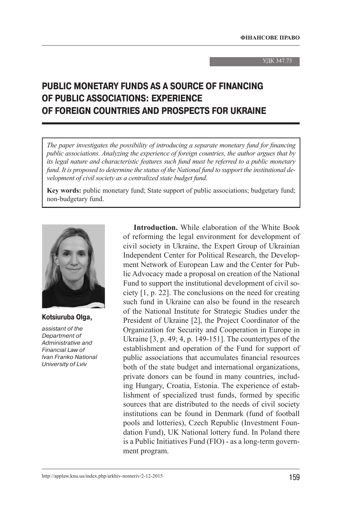#### УДК 347.73

# **PUBLIC MONETARY FUNDS AS A SOURCE OF FINANCING OF PUBLIC ASSOCIATIONS: EXPERIENCE OF FOREIGN COUNTRIES AND PROSPECTS FOR UKRAINE**

*The paper investigates the possibility of introducing a separate monetary fund for financing public associations. Analyzing the experience of foreign countries, the author argues that by its legal nature and characteristic features such fund must be referred to a public monetary fund. It is proposed to determine the status of the National fund to support the institutional development of civil society as a centralized state budget fund.*

**Key words:** public monetary fund; State support of public associations; budgetary fund; non-budgetary fund.



**Kotsiuruba Olga,**

assistant of the Department of Administrative and Financial Law of Ivan Franko National University of Lviv

**Introduction.** While elaboration of the White Book of reforming the legal environment for development of civil society in Ukraine, the Expert Group of Ukrainian Independent Center for Political Research, the Development Network of European Law and the Center for Public Advocacy made a proposal on creation of the National Fund to support the institutional development of civil society [1, p. 22]. The conclusions on the need for creating such fund in Ukraine can also be found in the research of the National Institute for Strategic Studies under the President of Ukraine [2], the Project Coordinator of the Organization for Security and Cooperation in Europe in Ukraine [3, p. 49; 4, p. 149-151]. The countertypes of the establishment and operation of the Fund for support of public associations that accumulates financial resources both of the state budget and international organizations, private donors can be found in many countries, including Hungary, Croatia, Estonia. The experience of establishment of specialized trust funds, formed by specific sources that are distributed to the needs of civil society institutions can be found in Denmark (fund of football pools and lotteries), Czech Republic (Investment Foundation Fund), UK National lottery fund. In Poland there is a Public Initiatives Fund (FIO) - as a long-term government program.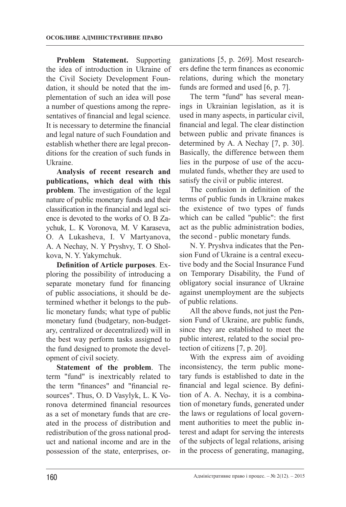**Problem Statement.** Supporting the idea of introduction in Ukraine of the Civil Society Development Foundation, it should be noted that the implementation of such an idea will pose a number of questions among the representatives of financial and legal science. It is necessary to determine the financial and legal nature of such Foundation and establish whether there are legal preconditions for the creation of such funds in Ukraine.

**Analysis of recent research and publications, which deal with this problem**. The investigation of the legal nature of public monetary funds and their classification in the financial and legal science is devoted to the works of O. B Zaychuk, L. K Voronova, M. V Karaseva, O. A Lukasheva, I. V Martyanova, A. A Nechay, N. Y Pryshvy, T. O Sholkova, N. Y. Yakymchuk.

**Definition of Article purposes**. Exploring the possibility of introducing a separate monetary fund for financing of public associations, it should be determined whether it belongs to the public monetary funds; what type of public monetary fund (budgetary, non-budgetary, centralized or decentralized) will in the best way perform tasks assigned to the fund designed to promote the development of civil society.

**Statement of the problem**. The term "fund" is inextricably related to the term "finances" and "financial resources". Thus, O. D Vasylyk, L. K Voronova determined financial resources as a set of monetary funds that are created in the process of distribution and redistribution of the gross national product and national income and are in the possession of the state, enterprises, organizations [5, p. 269]. Most researchers define the term finances as economic relations, during which the monetary funds are formed and used [6, p. 7].

The term "fund" has several meanings in Ukrainian legislation, as it is used in many aspects, in particular civil, financial and legal. The clear distinction between public and private finances is determined by A. A Nechay [7, p. 30]. Basically, the difference between them lies in the purpose of use of the accumulated funds, whether they are used to satisfy the civil or public interest.

The confusion in definition of the terms of public funds in Ukraine makes the existence of two types of funds which can be called "public": the first act as the public administration bodies, the second - public monetary funds.

N. Y. Pryshva indicates that the Pension Fund of Ukraine is a central executive body and the Social Insurance Fund on Temporary Disability, the Fund of obligatory social insurance of Ukraine against unemployment are the subjects of public relations.

All the above funds, not just the Pension Fund of Ukraine, are public funds, since they are established to meet the public interest, related to the social protection of citizens [7, p. 20].

With the express aim of avoiding inconsistency, the term public monetary funds is established to date in the financial and legal science. By definition of A. A. Nechay, it is a combination of monetary funds, generated under the laws or regulations of local government authorities to meet the public interest and adapt for serving the interests of the subjects of legal relations, arising in the process of generating, managing,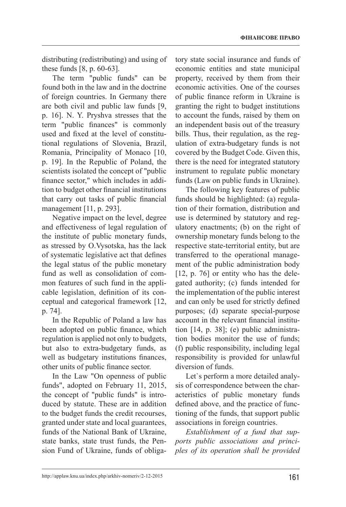distributing (redistributing) and using of these funds [8, p. 60-63].

The term "public funds" can be found both in the law and in the doctrine of foreign countries. In Germany there are both civil and public law funds [9, p. 16]. N. Y. Pryshva stresses that the term "public finances" is commonly used and fixed at the level of constitutional regulations of Slovenia, Brazil, Romania, Principality of Monaco [10, p. 19]. In the Republic of Poland, the scientists isolated the concept of "public finance sector," which includes in addition to budget other financial institutions that carry out tasks of public financial management [11, p. 293].

Negative impact on the level, degree and effectiveness of legal regulation of the institute of public monetary funds, as stressed by O.Vysotska, has the lack of systematic legislative act that defines the legal status of the public monetary fund as well as consolidation of common features of such fund in the applicable legislation, definition of its conceptual and categorical framework [12, p. 74].

In the Republic of Poland a law has been adopted on public finance, which regulation is applied not only to budgets, but also to extra-budgetary funds, as well as budgetary institutions finances, other units of public finance sector.

In the Law "On openness of public funds", adopted on February 11, 2015, the concept of "public funds" is introduced by statute. These are in addition to the budget funds the credit recourses, granted under state and local guarantees, funds of the National Bank of Ukraine, state banks, state trust funds, the Pension Fund of Ukraine, funds of obligatory state social insurance and funds of economic entities and state municipal property, received by them from their economic activities. One of the courses of public finance reform in Ukraine is granting the right to budget institutions to account the funds, raised by them on an independent basis out of the treasury bills. Thus, their regulation, as the regulation of extra-budgetary funds is not covered by the Budget Code. Given this, there is the need for integrated statutory instrument to regulate public monetary funds (Law on public funds in Ukraine).

The following key features of public funds should be highlighted: (a) regulation of their formation, distribution and use is determined by statutory and regulatory enactments; (b) on the right of ownership monetary funds belong to the respective state-territorial entity, but are transferred to the operational management of the public administration body [12, p. 76] or entity who has the delegated authority; (c) funds intended for the implementation of the public interest and can only be used for strictly defined purposes; (d) separate special-purpose account in the relevant financial institution [14, p. 38]; (e) public administration bodies monitor the use of funds; (f) public responsibility, including legal responsibility is provided for unlawful diversion of funds

Let`s perform a more detailed analysis of correspondence between the characteristics of public monetary funds defined above, and the practice of functioning of the funds, that support public associations in foreign countries.

*Establishment of a fund that supports public associations and principles of its operation shall be provided*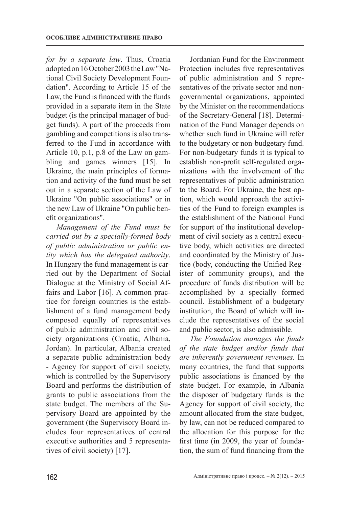*for by a separate law*. Thus, Croatia adopted on 16 October 2003 the Law "National Civil Society Development Foundation". According to Article 15 of the Law, the Fund is financed with the funds provided in a separate item in the State budget (is the principal manager of budget funds). A part of the proceeds from gambling and competitions is also transferred to the Fund in accordance with Article 10, p.1, p.8 of the Law on gambling and games winners [15]. In Ukraine, the main principles of formation and activity of the fund must be set out in a separate section of the Law of Ukraine "On public associations" or in the new Law of Ukraine "On public benefit organizations".

*Management of the Fund must be carried out by a specially-formed body of public administration or public entity which has the delegated authority*. In Hungary the fund management is carried out by the Department of Social Dialogue at the Ministry of Social Affairs and Labor [16]. A common practice for foreign countries is the establishment of a fund management body composed equally of representatives of public administration and civil society organizations (Croatia, Albania, Jordan). In particular, Albania created a separate public administration body - Agency for support of civil society, which is controlled by the Supervisory Board and performs the distribution of grants to public associations from the state budget. The members of the Supervisory Board are appointed by the government (the Supervisory Board includes four representatives of central executive authorities and 5 representatives of civil society) [17].

Jordanian Fund for the Environment Protection includes five representatives of public administration and 5 representatives of the private sector and nongovernmental organizations, appointed by the Minister on the recommendations of the Secretary-General [18]. Determination of the Fund Manager depends on whether such fund in Ukraine will refer to the budgetary or non-budgetary fund. For non-budgetary funds it is typical to establish non-profit self-regulated organizations with the involvement of the representatives of public administration to the Board. For Ukraine, the best option, which would approach the activities of the Fund to foreign examples is the establishment of the National Fund for support of the institutional development of civil society as a central executive body, which activities are directed and coordinated by the Ministry of Justice (body, conducting the Unified Register of community groups), and the procedure of funds distribution will be accomplished by a specially formed council. Establishment of a budgetary institution, the Board of which will include the representatives of the social and public sector, is also admissible.

*The Foundation manages the funds of the state budget and/or funds that are inherently government revenues.* In many countries, the fund that supports public associations is financed by the state budget. For example, in Albania the disposer of budgetary funds is the Agency for support of civil society, the amount allocated from the state budget, by law, can not be reduced compared to the allocation for this purpose for the first time (in 2009, the year of foundation, the sum of fund financing from the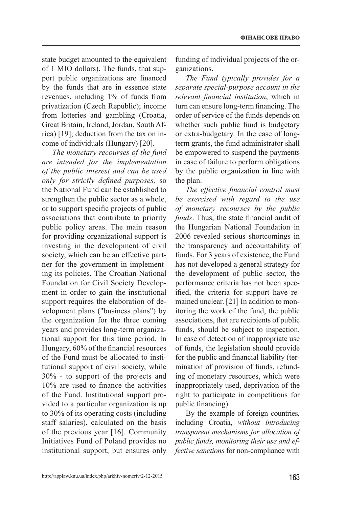state budget amounted to the equivalent of 1 MIO dollars). The funds, that support public organizations are financed by the funds that are in essence state revenues, including 1% of funds from privatization (Czech Republic); income from lotteries and gambling (Croatia, Great Britain, Ireland, Jordan, South Africa) [19]; deduction from the tax on income of individuals (Hungary) [20].

*The monetary recourses of the fund are intended for the implementation of the public interest and can be used only for strictly defined purposes,* so the National Fund can be established to strengthen the public sector as a whole, or to support specific projects of public associations that contribute to priority public policy areas. The main reason for providing organizational support is investing in the development of civil society, which can be an effective partner for the government in implementing its policies. The Croatian National Foundation for Civil Society Development in order to gain the institutional support requires the elaboration of development plans ("business plans") by the organization for the three coming years and provides long-term organizational support for this time period. In Hungary, 60% of the financial resources of the Fund must be allocated to institutional support of civil society, while 30% - to support of the projects and 10% are used to finance the activities of the Fund. Institutional support provided to a particular organization is up to 30% of its operating costs (including staff salaries), calculated on the basis of the previous year [16]. Community Initiatives Fund of Poland provides no institutional support, but ensures only

funding of individual projects of the organizations.

*The Fund typically provides for a separate special-purpose account in the relevant financial institution*, which in turn can ensure long-term financing. The order of service of the funds depends on whether such public fund is budgetary or extra-budgetary. In the case of longterm grants, the fund administrator shall be empowered to suspend the payments in case of failure to perform obligations by the public organization in line with the plan.

*The effective financial control must be exercised with regard to the use of monetary recourses by the public funds*. Thus, the state financial audit of the Hungarian National Foundation in 2006 revealed serious shortcomings in the transparency and accountability of funds. For 3 years of existence, the Fund has not developed a general strategy for the development of public sector, the performance criteria has not been specified, the criteria for support have remained unclear. [21] In addition to monitoring the work of the fund, the public associations, that are recipients of public funds, should be subject to inspection. In case of detection of inappropriate use of funds, the legislation should provide for the public and financial liability (termination of provision of funds, refunding of monetary resources, which were inappropriately used, deprivation of the right to participate in competitions for public financing).

By the example of foreign countries, including Croatia, *without introducing transparent mechanisms for allocation of public funds, monitoring their use and effective sanctions* for non-compliance with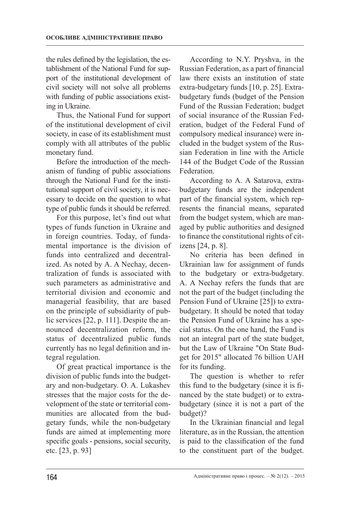the rules defined by the legislation, the establishment of the National Fund for support of the institutional development of civil society will not solve all problems with funding of public associations existing in Ukraine.

Thus, the National Fund for support of the institutional development of civil society, in case of its establishment must comply with all attributes of the public monetary fund.

Before the introduction of the mechanism of funding of public associations through the National Fund for the institutional support of civil society, it is necessary to decide on the question to what type of public funds it should be referred.

For this purpose, let's find out what types of funds function in Ukraine and in foreign countries. Today, of fundamental importance is the division of funds into centralized and decentralized. As noted by A. A Nechay, decentralization of funds is associated with such parameters as administrative and territorial division and economic and managerial feasibility, that are based on the principle of subsidiarity of public services [22, p. 111]. Despite the announced decentralization reform, the status of decentralized public funds currently has no legal definition and integral regulation.

Of great practical importance is the division of public funds into the budgetary and non-budgetary. O. A. Lukashev stresses that the major costs for the development of the state or territorial communities are allocated from the budgetary funds, while the non-budgetary funds are aimed at implementing more specific goals - pensions, social security, etc. [23, p. 93]

According to N.Y. Pryshva, in the Russian Federation, as a part of financial law there exists an institution of state extra-budgetary funds [10, p. 25]. Extrabudgetary funds (budget of the Pension Fund of the Russian Federation; budget of social insurance of the Russian Federation, budget of the Federal Fund of compulsory medical insurance) were included in the budget system of the Russian Federation in line with the Article 144 of the Budget Code of the Russian Federation.

According to A. A Satarova, extrabudgetary funds are the independent part of the financial system, which represents the financial means, separated from the budget system, which are managed by public authorities and designed to finance the constitutional rights of citizens [24, p. 8].

No criteria has been defined in Ukrainian law for assignment of funds to the budgetary or extra-budgetary. A. A Nechay refers the funds that are not the part of the budget (including the Pension Fund of Ukraine [25]) to extrabudgetary. It should be noted that today the Pension Fund of Ukraine has a special status. On the one hand, the Fund is not an integral part of the state budget, but the Law of Ukraine "On State Budget for 2015" allocated 76 billion UAH for its funding.

The question is whether to refer this fund to the budgetary (since it is financed by the state budget) or to extrabudgetary (since it is not a part of the budget)?

In the Ukrainian financial and legal literature, as in the Russian, the attention is paid to the classification of the fund to the constituent part of the budget.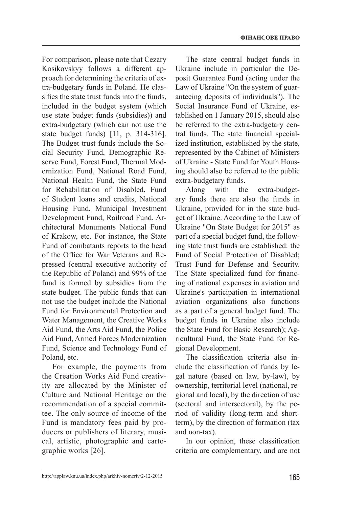For comparison, please note that Cezary Kosikovskyy follows a different approach for determining the criteria of extra-budgetary funds in Poland. He classifies the state trust funds into the funds, included in the budget system (which use state budget funds (subsidies)) and extra-budgetary (which can not use the state budget funds) [11, p. 314-316]. The Budget trust funds include the Social Security Fund, Demographic Reserve Fund, Forest Fund, Thermal Modernization Fund, National Road Fund, National Health Fund, the State Fund for Rehabilitation of Disabled, Fund of Student loans and credits, National Housing Fund, Municipal Investment Development Fund, Railroad Fund, Architectural Monuments National Fund of Krakow, etc. For instance, the State Fund of combatants reports to the head of the Office for War Veterans and Repressed (central executive authority of the Republic of Poland) and 99% of the fund is formed by subsidies from the state budget. The public funds that can not use the budget include the National Fund for Environmental Protection and Water Management, the Creative Works Aid Fund, the Arts Aid Fund, the Police Aid Fund, Armed Forces Modernization Fund, Science and Technology Fund of Poland, etc.

For example, the payments from the Creation Works Aid Fund creativity are allocated by the Minister of Culture and National Heritage on the recommendation of a special committee. The only source of income of the Fund is mandatory fees paid by producers or publishers of literary, musical, artistic, photographic and cartographic works [26].

The state central budget funds in Ukraine include in particular the Deposit Guarantee Fund (acting under the Law of Ukraine "On the system of guaranteeing deposits of individuals"). The Social Insurance Fund of Ukraine, established on 1 January 2015, should also be referred to the extra-budgetary central funds. The state financial specialized institution, established by the state, represented by the Cabinet of Ministers of Ukraine - State Fund for Youth Housing should also be referred to the public extra-budgetary funds.

Along with the extra-budgetary funds there are also the funds in Ukraine, provided for in the state budget of Ukraine. According to the Law of Ukraine "On State Budget for 2015" as part of a special budget fund, the following state trust funds are established: the Fund of Social Protection of Disabled; Trust Fund for Defense and Security. The State specialized fund for financing of national expenses in aviation and Ukraine's participation in international aviation organizations also functions as a part of a general budget fund. The budget funds in Ukraine also include the State Fund for Basic Research); Agricultural Fund, the State Fund for Regional Development.

The classification criteria also include the classification of funds by legal nature (based on law, by-law), by ownership, territorial level (national, regional and local), by the direction of use (sectoral and intersectoral), by the period of validity (long-term and shortterm), by the direction of formation (tax and non-tax).

In our opinion, these classification criteria are complementary, and are not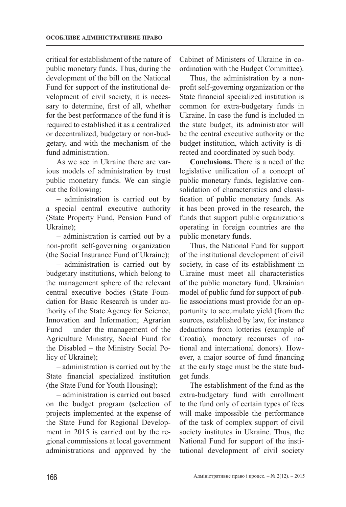critical for establishment of the nature of public monetary funds. Thus, during the development of the bill on the National Fund for support of the institutional development of civil society, it is necessary to determine, first of all, whether for the best performance of the fund it is required to established it as a centralized or decentralized, budgetary or non-budgetary, and with the mechanism of the fund administration.

As we see in Ukraine there are various models of administration by trust public monetary funds. We can single out the following:

– administration is carried out by a special central executive authority (State Property Fund, Pension Fund of Ukraine);

– administration is carried out by a non-profit self-governing organization (the Social Insurance Fund of Ukraine);

– administration is carried out by budgetary institutions, which belong to the management sphere of the relevant central executive bodies (State Foundation for Basic Research is under authority of the State Agency for Science, Innovation and Information; Agrarian Fund – under the management of the Agriculture Ministry, Social Fund for the Disabled – the Ministry Social Policy of Ukraine);

– administration is carried out by the State financial specialized institution (the State Fund for Youth Housing);

– administration is carried out based on the budget program (selection of projects implemented at the expense of the State Fund for Regional Development in 2015 is carried out by the regional commissions at local government administrations and approved by the

Cabinet of Ministers of Ukraine in coordination with the Budget Committee).

Thus, the administration by a nonprofit self-governing organization or the State financial specialized institution is common for extra-budgetary funds in Ukraine. In case the fund is included in the state budget, its administrator will be the central executive authority or the budget institution, which activity is directed and coordinated by such body.

**Conclusions.** There is a need of the legislative unification of a concept of public monetary funds, legislative consolidation of characteristics and classification of public monetary funds. As it has been proved in the research, the funds that support public organizations operating in foreign countries are the public monetary funds.

Thus, the National Fund for support of the institutional development of civil society, in case of its establishment in Ukraine must meet all characteristics of the public monetary fund. Ukrainian model of public fund for support of public associations must provide for an opportunity to accumulate yield (from the sources, established by law, for instance deductions from lotteries (example of Croatia), monetary recourses of national and international donors). However, a major source of fund financing at the early stage must be the state budget funds.

The establishment of the fund as the extra-budgetary fund with enrollment to the fund only of certain types of fees will make impossible the performance of the task of complex support of civil society institutes in Ukraine. Thus, the National Fund for support of the institutional development of civil society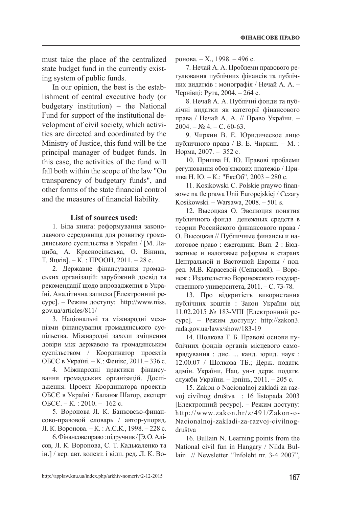must take the place of the centralized state budget fund in the currently existing system of public funds.

In our opinion, the best is the establishment of central executive body (or budgetary institution) – the National Fund for support of the institutional development of civil society, which activities are directed and coordinated by the Ministry of Justice, this fund will be the principal manager of budget funds. In this case, the activities of the fund will fall both within the scope of the law "On transparency of budgetary funds", and other forms of the state financial control and the measures of financial liability.

### **List of sources used:**

1. Біла книга: реформування законодавчого середовища для розвитку громадянського суспільства в Україні / [М. Лациба, А. Красносільська, О. Вінник, Т. Яцків]. – К. : ПРООН, 2011. – 28 с.

2. Державне фінансування громадських організацій: зарубіжний досвід та рекомендації щодо впровадження в Україні. Аналітична записка [Електронний ресурс]. – Режим доступу: http://www.niss. gov.ua/articles/811/

3. Національні та міжнародні механізми фінансування громадянського суспільства. Міжнародні заходи зміцнення довіри між державою та громадянським суспільством / Координатор проектів ОБСЄ в Україні. – К.: Фенікс, 2011.– 336 с.

4. Міжнародні практики фінансування громадських організацій. Дослідження. Проект Координатора проектів ОБСЄ в Україні / Баланж Шатор, експерт ОБСЄ. – К. : 2010. – 162 с.

5. Воронова Л. К. Банковско-финансово-правовой словарь / автор-упоряд. Л. К. Воронова. – К. : А.С.К., 1998. – 228 с.

6. Фінансове право : підручник / [Э. О. Алісов, Л. К. Воронова, С. Т. Кадькаленко та ін.] / кер. авт. колект. і відп. ред. Л. К. Воронова. – Х., 1998. – 496 с.

7. Нечай А. А. Проблеми правового регулювання публічних фінансів та публічних видатків : монографія / Нечай А. А. – Чернівці: Рута, 2004. – 264 с.

8. Нечай А. А. Публічні фонди та публічні видатки як категорії фінансового права / Нечай А. А. // Право України. –  $2004. - N<sub>2</sub> 4. - C. 60-63.$ 

9. Чиркин В. Е. Юридическое лицо публичного права / В. Е. Чиркин. – М. : Норма, 2007. – 352 с.

10. Пришва Н. Ю. Правові проблеми регулювання обов'язкових платежів / Пришва Н. Ю. – К.: "ЕксОб", 2003 – 280 с.

11. Kosikowski C. Polskie praywo finansowe na tle prawa Unii Europejskiej / Cezary Kosikowski. – Warsawa, 2008. – 501 s.

12. Высоцкая О. Эволюция понятия публичного фонда денежных средств в теории Российского финансового права / О. Высоцкая // Публичные финансы и налоговое право : ежегодник. Вып. 2 : Бюджетные и налоговые реформы в старанх Центральной и Васточной Европы / под. ред. М.В. Карасевой (Сенцовой). – Воронеж : Издательство Воронежского государственного университета, 2011. – С. 73-78.

13. Про відкритість використання публічних коштів : Закон України від 11.02.2015 № 183-VIII [Електронний ресурс]. – Режим доступу: http://zakon3. rada.gov.ua/laws/show/183-19

14. Шолкова Т. Б. Правові основи публічних фондів органів місцевого самоврядування : дис. ... канд. юрид. наук : 12.00.07 / Шолкова ТБ.; Держ. податк. адмін. України, Нац. ун-т держ. податк. служби України. – Ірпінь, 2011. – 205 с.

15. Zakon o Nacionalnoj zakladi za razvoj civilnog društva : 16 listopada 2003 [Електронний ресурс]. – Режим доступу: http://www.zakon.hr/z/491/Zakon-o-Nacionalnoj-zakladi-za-razvoj-civilnogdruštva

16. Bullain N. Learning points from the National civil fun in Hangary / Nilda Bullain // Newsletter "Infoleht nr. 3-4 2007",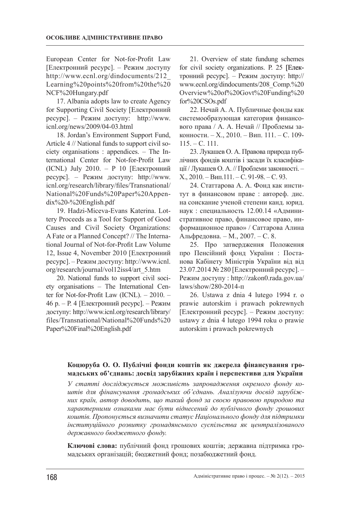European Center for Not-for-Profit Law [Електронний ресурс]. – Режим доступу http://www.ecnl.org/dindocuments/212\_ Learning%20points%20from%20the%20 NCF%20Hungary.pdf

17. Albania adopts law to create Agency for Supporting Civil Society [Електронний ресурс]. – Режим доступу: http://www. icnl.org/news/2009/04-03.html

18. Jordan's Environment Support Fund, Article 4 // National funds to support civil society organisations : appendices. – The International Center for Not-for-Profit Law (ICNL) July 2010. – P 10 [Електронний ресурс]. – Режим доступу: http://www. icnl.org/research/library/files/Transnational/ National%20Funds%20Paper%20Appendix%20-%20English.pdf

19. Hadzi-Miceva-Evans Katerina. Lottery Proceeds as a Tool for Support of Good Causes and Civil Society Organizations: A Fate or a Planned Concept? // The International Journal of Not-for-Profit Law Volume 12, Issue 4, November 2010 [Електронний ресурс]. – Режим доступу: http://www.icnl. org/research/journal/vol12iss4/art\_5.htm

20. National funds to support civil society organisations – The International Center for Not-for-Profit Law (ICNL). – 2010. – 46 р. – Р. 4 [Електронний ресурс]. – Режим доступу: http://www.icnl.org/research/library/ files/Transnational/National%20Funds%20 Paper%20Final%20English.pdf

21. Overview of state fundung schemes for civil society organizations. Р. 25 [Електронний ресурс]. – Режим доступу: http:// www.ecnl.org/dindocuments/208\_Comp.%20 Overview%20of%20Govt%20Funding%20 for%20CSOs.pdf

22. Нечай А. А. Публичные фонды как системообразующая категория финансового права / А. А. Нечай // Проблемы законности. – Х., 2010. – Вип. 111. – С. 109- 115. – С. 111.

23. Лукашев О. А. Правова природа публічних фондів коштів і засади їх класифікації / Лукашев О. А. // Проблеми законності. – Х., 2010. – Вип.111. – С. 91-98. – С. 93.

24. Статтарова А. А. Фонд как институт в финансовом праве : автореф. дис. на соискание ученой степени канд. юрид. наук : специальность 12.00.14 «Административное право, финансовое право, информационное право» / Саттарова Алина Альфредовна. – М., 2007. – С. 8.

25. Про затвердження Положення про Пенсійний фонд України : Постанова Кабінету Міністрів України від від 23.07.2014 № 280 [Електронний ресурс]. – Режим доступу : http://zakon0.rada.gov.ua/ laws/show/280-2014-п

26. Ustawa z dnia 4 lutego 1994 r. o prawie autorskim i prawach pokrewnych [Електронний ресурс]. – Режим доступу: ustawy z dnia 4 lutego 1994 roku o prawie autorskim i prawach pokrewnych

# **Коцюруба О. О. Публічні фонди коштів як джерела фінансування громадських об'єднань: досвід зарубіжних країн і перспективи для України**

*У статті досліджується можливість запровадження окремого фонду коштів для фінансування громадських об'єднань. Аналізуючи досвід зарубіжних країн, автор доводить, що такий фонд за своєю правовою природою та характерними ознаками має бути віднесений до публічного фонду грошових коштів. Пропонується визначити статус Національного фонду для підтримки інституційного розвитку громадянського суспільства як централізованого державного бюджетного фонду.*

**Ключові слова:** публічний фонд грошових коштів; державна підтримка громадських організацій; бюджетний фонд; позабюджетний фонд.